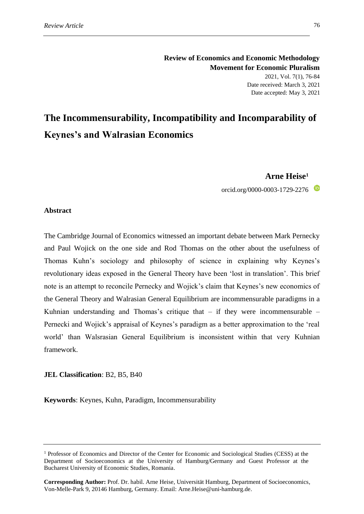# **The Incommensurability, Incompatibility and Incomparability of Keynes's and Walrasian Economics**

# **Arne Heise<sup>1</sup>**

orcid.org/0000-0003-1729-2276

## **Abstract**

The Cambridge Journal of Economics witnessed an important debate between Mark Pernecky and Paul Wojick on the one side and Rod Thomas on the other about the usefulness of Thomas Kuhn's sociology and philosophy of science in explaining why Keynes's revolutionary ideas exposed in the General Theory have been 'lost in translation'. This brief note is an attempt to reconcile Pernecky and Wojick's claim that Keynes's new economics of the General Theory and Walrasian General Equilibrium are incommensurable paradigms in a Kuhnian understanding and Thomas's critique that  $-$  if they were incommensurable  $-$ Pernecki and Wojick's appraisal of Keynes's paradigm as a better approximation to the 'real world' than Walsrasian General Equilibrium is inconsistent within that very Kuhnian framework.

### **JEL Classification**: B2, B5, B40

**Keywords**: Keynes, Kuhn, Paradigm, Incommensurability

<sup>1</sup> Professor of Economics and Director of the Center for Economic and Sociological Studies (CESS) at the Department of Socioeconomics at the University of Hamburg/Germany and Guest Professor at the Bucharest University of Economic Studies, Romania.

**Corresponding Author:** Prof. Dr. habil. Arne Heise, Universität Hamburg, Department of Socioeconomics, Von-Melle-Park 9, 20146 Hamburg, Germany. Email: Arne.Heise@uni-hamburg.de.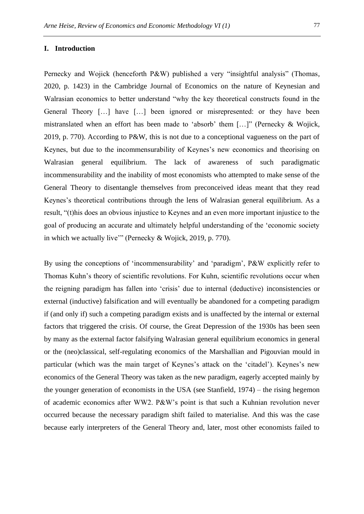#### **I. Introduction**

Pernecky and Wojick (henceforth P&W) published a very "insightful analysis" (Thomas, 2020, p. 1423) in the Cambridge Journal of Economics on the nature of Keynesian and Walrasian economics to better understand "why the key theoretical constructs found in the General Theory […] have […] been ignored or misrepresented: or they have been mistranslated when an effort has been made to 'absorb' them […]" (Pernecky & Wojick, 2019, p. 770). According to P&W, this is not due to a conceptional vagueness on the part of Keynes, but due to the incommensurability of Keynes's new economics and theorising on Walrasian general equilibrium. The lack of awareness of such paradigmatic incommensurability and the inability of most economists who attempted to make sense of the General Theory to disentangle themselves from preconceived ideas meant that they read Keynes's theoretical contributions through the lens of Walrasian general equilibrium. As a result, "(t)his does an obvious injustice to Keynes and an even more important injustice to the goal of producing an accurate and ultimately helpful understanding of the 'economic society in which we actually live'" (Pernecky & Wojick, 2019, p. 770).

By using the conceptions of 'incommensurability' and 'paradigm', P&W explicitly refer to Thomas Kuhn's theory of scientific revolutions. For Kuhn, scientific revolutions occur when the reigning paradigm has fallen into 'crisis' due to internal (deductive) inconsistencies or external (inductive) falsification and will eventually be abandoned for a competing paradigm if (and only if) such a competing paradigm exists and is unaffected by the internal or external factors that triggered the crisis. Of course, the Great Depression of the 1930s has been seen by many as the external factor falsifying Walrasian general equilibrium economics in general or the (neo)classical, self-regulating economics of the Marshallian and Pigouvian mould in particular (which was the main target of Keynes's attack on the 'citadel'). Keynes's new economics of the General Theory was taken as the new paradigm, eagerly accepted mainly by the younger generation of economists in the USA (see Stanfield, 1974) – the rising hegemon of academic economics after WW2. P&W's point is that such a Kuhnian revolution never occurred because the necessary paradigm shift failed to materialise. And this was the case because early interpreters of the General Theory and, later, most other economists failed to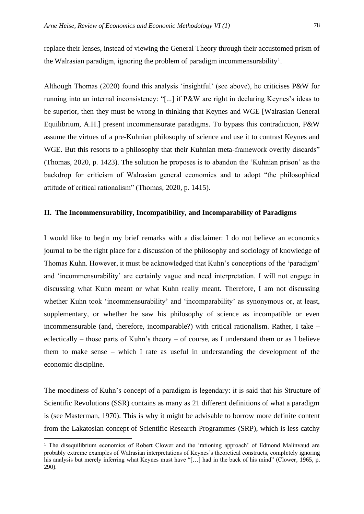replace their lenses, instead of viewing the General Theory through their accustomed prism of the Walrasian paradigm, ignoring the problem of paradigm incommensurability<sup>1</sup>.

Although Thomas (2020) found this analysis 'insightful' (see above), he criticises P&W for running into an internal inconsistency: "[...] if P&W are right in declaring Keynes's ideas to be superior, then they must be wrong in thinking that Keynes and WGE [Walrasian General Equilibrium, A.H.] present incommensurate paradigms. To bypass this contradiction, P&W assume the virtues of a pre-Kuhnian philosophy of science and use it to contrast Keynes and WGE. But this resorts to a philosophy that their Kuhnian meta-framework overtly discards" (Thomas, 2020, p. 1423). The solution he proposes is to abandon the 'Kuhnian prison' as the backdrop for criticism of Walrasian general economics and to adopt "the philosophical attitude of critical rationalism" (Thomas, 2020, p. 1415).

## **II. The Incommensurability, Incompatibility, and Incomparability of Paradigms**

I would like to begin my brief remarks with a disclaimer: I do not believe an economics journal to be the right place for a discussion of the philosophy and sociology of knowledge of Thomas Kuhn. However, it must be acknowledged that Kuhn's conceptions of the 'paradigm' and 'incommensurability' are certainly vague and need interpretation. I will not engage in discussing what Kuhn meant or what Kuhn really meant. Therefore, I am not discussing whether Kuhn took 'incommensurability' and 'incomparability' as synonymous or, at least, supplementary, or whether he saw his philosophy of science as incompatible or even incommensurable (and, therefore, incomparable?) with critical rationalism. Rather, I take – eclectically – those parts of Kuhn's theory – of course, as I understand them or as I believe them to make sense – which I rate as useful in understanding the development of the economic discipline.

The moodiness of Kuhn's concept of a paradigm is legendary: it is said that his Structure of Scientific Revolutions (SSR) contains as many as 21 different definitions of what a paradigm is (see Masterman, 1970). This is why it might be advisable to borrow more definite content from the Lakatosian concept of Scientific Research Programmes (SRP), which is less catchy

<sup>&</sup>lt;sup>1</sup> The disequilibrium economics of Robert Clower and the 'rationing approach' of Edmond Malinvaud are probably extreme examples of Walrasian interpretations of Keynes's theoretical constructs, completely ignoring his analysis but merely inferring what Keynes must have "[...] had in the back of his mind" (Clower, 1965, p. 290).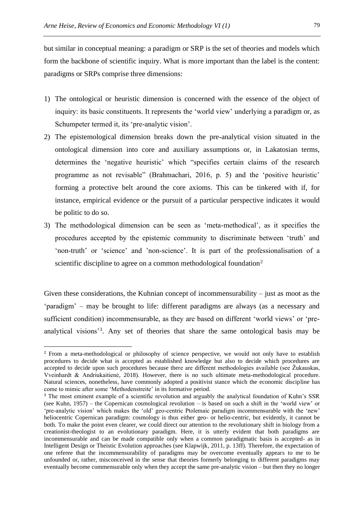but similar in conceptual meaning: a paradigm or SRP is the set of theories and models which form the backbone of scientific inquiry. What is more important than the label is the content: paradigms or SRPs comprise three dimensions:

- 1) The ontological or heuristic dimension is concerned with the essence of the object of inquiry: its basic constituents. It represents the 'world view' underlying a paradigm or, as Schumpeter termed it, its 'pre-analytic vision'.
- 2) The epistemological dimension breaks down the pre-analytical vision situated in the ontological dimension into core and auxiliary assumptions or, in Lakatosian terms, determines the 'negative heuristic' which "specifies certain claims of the research programme as not revisable" (Brahmachari, 2016, p. 5) and the 'positive heuristic' forming a protective belt around the core axioms. This can be tinkered with if, for instance, empirical evidence or the pursuit of a particular perspective indicates it would be politic to do so.
- 3) The methodological dimension can be seen as 'meta-methodical', as it specifies the procedures accepted by the epistemic community to discriminate between 'truth' and 'non-truth' or 'science' and 'non-science'. It is part of the professionalisation of a scientific discipline to agree on a common methodological foundation<sup>2</sup>

Given these considerations, the Kuhnian concept of incommensurability – just as moot as the 'paradigm' – may be brought to life: different paradigms are always (as a necessary and sufficient condition) incommensurable, as they are based on different 'world views' or 'preanalytical visions<sup>3</sup>. Any set of theories that share the same ontological basis may be

<sup>&</sup>lt;sup>2</sup> From a meta-methodological or philosophy of science perspective, we would not only have to establish procedures to decide what is accepted as established knowledge but also to decide which procedures are accepted to decide upon such procedures because there are different methodologies available (see Žukauskas, Vveinhardt & Andriukaitienė, 2018). However, there is no such ultimate meta-methodological procedure. Natural sciences, nonetheless, have commonly adopted a positivist stance which the economic discipline has come to mimic after some 'Methodenstreite' in its formative period.

<sup>&</sup>lt;sup>3</sup> The most eminent example of a scientific revolution and arguably the analytical foundation of Kuhn's SSR (see Kuhn, 1957) – the Copernican cosmological revolution – is based on such a shift in the 'world view' or 'pre-analytic vision' which makes the 'old' geo-centric Ptolemaic paradigm incommensurable with the 'new' heliocentric Copernican paradigm: cosmology is thus either geo- or helio-centric, but evidently, it cannot be both. To make the point even clearer, we could direct our attention to the revolutionary shift in biology from a creationist-theologist to an evolutionary paradigm. Here, it is utterly evident that both paradigms are incommensurable and can be made compatible only when a common paradigmatic basis is accepted- as in Intelligent Design or Theistic Evolution approaches (see Klapwijk, 2011, p. 13ff). Therefore, the expectation of one referee that the incommensurability of paradigms may be overcome eventually appears to me to be unfounded or, rather, misconceived in the sense that theories formerly belonging to different paradigms may eventually become commensurable only when they accept the same pre-analytic vision – but then they no longer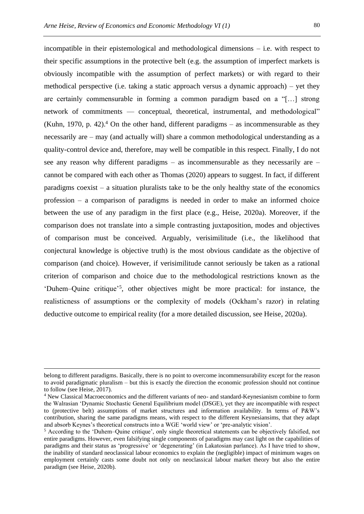incompatible in their epistemological and methodological dimensions – i.e. with respect to their specific assumptions in the protective belt (e.g. the assumption of imperfect markets is obviously incompatible with the assumption of perfect markets) or with regard to their methodical perspective (i.e. taking a static approach versus a dynamic approach) – yet they are certainly commensurable in forming a common paradigm based on a "[…] strong network of commitments — conceptual, theoretical, instrumental, and methodological" (Kuhn, 1970, p. 42).<sup>4</sup> On the other hand, different paradigms – as incommensurable as they necessarily are – may (and actually will) share a common methodological understanding as a quality-control device and, therefore, may well be compatible in this respect. Finally, I do not see any reason why different paradigms – as incommensurable as they necessarily are – cannot be compared with each other as Thomas (2020) appears to suggest. In fact, if different paradigms coexist – a situation pluralists take to be the only healthy state of the economics profession – a comparison of paradigms is needed in order to make an informed choice between the use of any paradigm in the first place (e.g., Heise, 2020a). Moreover, if the comparison does not translate into a simple contrasting juxtaposition, modes and objectives of comparison must be conceived. Arguably, verisimilitude (i.e., the likelihood that conjectural knowledge is objective truth) is the most obvious candidate as the objective of comparison (and choice). However, if verisimilitude cannot seriously be taken as a rational criterion of comparison and choice due to the methodological restrictions known as the 'Duhem–Quine critique'<sup>5</sup> , other objectives might be more practical: for instance, the realisticness of assumptions or the complexity of models (Ockham's razor) in relating deductive outcome to empirical reality (for a more detailed discussion, see Heise, 2020a).

belong to different paradigms. Basically, there is no point to overcome incommensurability except for the reason to avoid paradigmatic pluralism – but this is exactly the direction the economic profession should not continue to follow (see Heise, 2017).

<sup>4</sup> New Classical Macroeconomics and the different variants of neo- and standard-Keynesianism combine to form the Walrasian 'Dynamic Stochastic General Equilibrium model (DSGE), yet they are incompatible with respect to (protective belt) assumptions of market structures and information availability. In terms of P&W's contribution, sharing the same paradigms means, with respect to the different Keynesiansims, that they adapt and absorb Keynes's theoretical constructs into a WGE 'world view' or 'pre-analytic vision'.

<sup>5</sup> According to the 'Duhem–Quine critique', only single theoretical statements can be objectively falsified, not entire paradigms. However, even falsifying single components of paradigms may cast light on the capabilities of paradigms and their status as 'progressive' or 'degenerating' (in Lakatosian parlance). As I have tried to show, the inability of standard neoclassical labour economics to explain the (negligible) impact of minimum wages on employment certainly casts some doubt not only on neoclassical labour market theory but also the entire paradigm (see Heise, 2020b).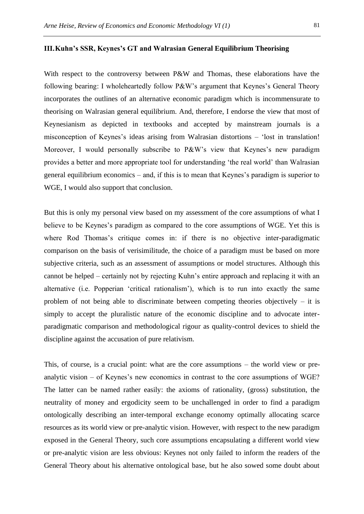#### **III.Kuhn's SSR, Keynes's GT and Walrasian General Equilibrium Theorising**

With respect to the controversy between P&W and Thomas, these elaborations have the following bearing: I wholeheartedly follow P&W's argument that Keynes's General Theory incorporates the outlines of an alternative economic paradigm which is incommensurate to theorising on Walrasian general equilibrium. And, therefore, I endorse the view that most of Keynesianism as depicted in textbooks and accepted by mainstream journals is a misconception of Keynes's ideas arising from Walrasian distortions – 'lost in translation! Moreover, I would personally subscribe to P&W's view that Keynes's new paradigm provides a better and more appropriate tool for understanding 'the real world' than Walrasian general equilibrium economics – and, if this is to mean that Keynes's paradigm is superior to WGE, I would also support that conclusion.

But this is only my personal view based on my assessment of the core assumptions of what I believe to be Keynes's paradigm as compared to the core assumptions of WGE. Yet this is where Rod Thomas's critique comes in: if there is no objective inter-paradigmatic comparison on the basis of verisimilitude, the choice of a paradigm must be based on more subjective criteria, such as an assessment of assumptions or model structures. Although this cannot be helped – certainly not by rejecting Kuhn's entire approach and replacing it with an alternative (i.e. Popperian 'critical rationalism'), which is to run into exactly the same problem of not being able to discriminate between competing theories objectively  $-$  it is simply to accept the pluralistic nature of the economic discipline and to advocate interparadigmatic comparison and methodological rigour as quality-control devices to shield the discipline against the accusation of pure relativism.

This, of course, is a crucial point: what are the core assumptions – the world view or preanalytic vision – of Keynes's new economics in contrast to the core assumptions of WGE? The latter can be named rather easily: the axioms of rationality, (gross) substitution, the neutrality of money and ergodicity seem to be unchallenged in order to find a paradigm ontologically describing an inter-temporal exchange economy optimally allocating scarce resources as its world view or pre-analytic vision. However, with respect to the new paradigm exposed in the General Theory, such core assumptions encapsulating a different world view or pre-analytic vision are less obvious: Keynes not only failed to inform the readers of the General Theory about his alternative ontological base, but he also sowed some doubt about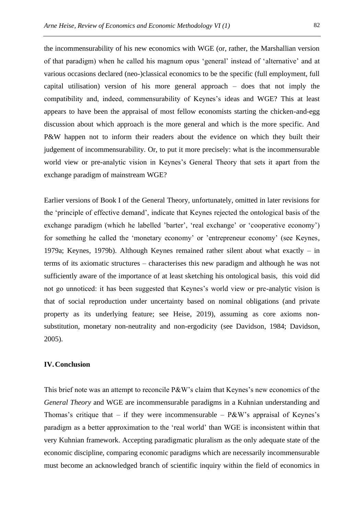the incommensurability of his new economics with WGE (or, rather, the Marshallian version of that paradigm) when he called his magnum opus 'general' instead of 'alternative' and at various occasions declared (neo-)classical economics to be the specific (full employment, full capital utilisation) version of his more general approach – does that not imply the compatibility and, indeed, commensurability of Keynes's ideas and WGE? This at least appears to have been the appraisal of most fellow economists starting the chicken-and-egg discussion about which approach is the more general and which is the more specific. And P&W happen not to inform their readers about the evidence on which they built their judgement of incommensurability. Or, to put it more precisely: what is the incommensurable world view or pre-analytic vision in Keynes's General Theory that sets it apart from the exchange paradigm of mainstream WGE?

Earlier versions of Book I of the General Theory, unfortunately, omitted in later revisions for the 'principle of effective demand', indicate that Keynes rejected the ontological basis of the exchange paradigm (which he labelled 'barter', 'real exchange' or 'cooperative economy') for something he called the 'monetary economy' or 'entrepreneur economy' (see Keynes, 1979a; Keynes, 1979b). Although Keynes remained rather silent about what exactly – in terms of its axiomatic structures – characterises this new paradigm and although he was not sufficiently aware of the importance of at least sketching his ontological basis, this void did not go unnoticed: it has been suggested that Keynes's world view or pre-analytic vision is that of social reproduction under uncertainty based on nominal obligations (and private property as its underlying feature; see Heise, 2019), assuming as core axioms nonsubstitution, monetary non-neutrality and non-ergodicity (see Davidson, 1984; Davidson, 2005).

# **IV.Conclusion**

This brief note was an attempt to reconcile P&W's claim that Keynes's new economics of the *General Theory* and WGE are incommensurable paradigms in a Kuhnian understanding and Thomas's critique that – if they were incommensurable –  $P\&W$ 's appraisal of Keynes's paradigm as a better approximation to the 'real world' than WGE is inconsistent within that very Kuhnian framework. Accepting paradigmatic pluralism as the only adequate state of the economic discipline, comparing economic paradigms which are necessarily incommensurable must become an acknowledged branch of scientific inquiry within the field of economics in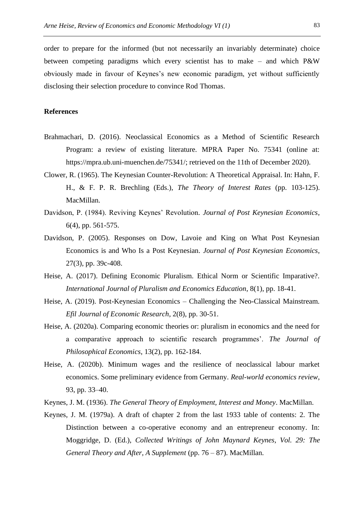order to prepare for the informed (but not necessarily an invariably determinate) choice between competing paradigms which every scientist has to make – and which P&W obviously made in favour of Keynes's new economic paradigm, yet without sufficiently disclosing their selection procedure to convince Rod Thomas.

## **References**

- Brahmachari, D. (2016). Neoclassical Economics as a Method of Scientific Research Program: a review of existing literature. MPRA Paper No. 75341 (online at: https://mpra.ub.uni-muenchen.de/75341/; retrieved on the 11th of December 2020).
- Clower, R. (1965). The Keynesian Counter-Revolution: A Theoretical Appraisal. In: Hahn, F. H., & F. P. R. Brechling (Eds.), *The Theory of Interest Rates* (pp. 103-125). MacMillan.
- Davidson, P. (1984). Reviving Keynes' Revolution*. Journal of Post Keynesian Economics*, 6(4), pp. 561-575.
- Davidson, P. (2005). Responses on Dow, Lavoie and King on What Post Keynesian Economics is and Who Is a Post Keynesian. *Journal of Post Keynesian Economics*, 27(3), pp. 39c-408.
- Heise, A. (2017). Defining Economic Pluralism. Ethical Norm or Scientific Imparative?. *International Journal of Pluralism and Economics Education*, 8(1), pp. 18-41.
- Heise, A. (2019). Post-Keynesian Economics Challenging the Neo-Classical Mainstream. *Efil Journal of Economic Research*, 2(8), pp. 30-51.
- Heise, A. (2020a). Comparing economic theories or: pluralism in economics and the need for a comparative approach to scientific research programmes'. *The Journal of Philosophical Economics*, 13(2), pp. 162-184.
- Heise, A. (2020b). Minimum wages and the resilience of neoclassical labour market economics. Some preliminary evidence from Germany. *Real-world economics review*, 93, pp. 33–40.
- Keynes, J. M. (1936). *The General Theory of Employment, Interest and Money*. MacMillan.
- Keynes, J. M. (1979a). A draft of chapter 2 from the last 1933 table of contents: 2. The Distinction between a co-operative economy and an entrepreneur economy. In: Moggridge, D. (Ed.), *Collected Writings of John Maynard Keynes, Vol. 29: The General Theory and After, A Supplement* (pp. 76 – 87). MacMillan.